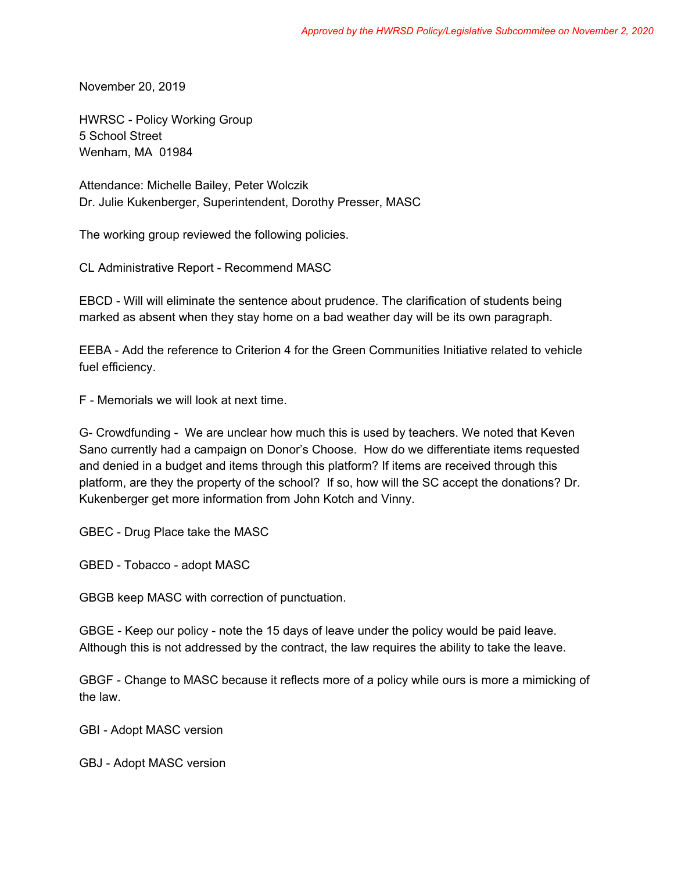November 20, 2019

HWRSC - Policy Working Group 5 School Street Wenham, MA 01984

Attendance: Michelle Bailey, Peter Wolczik Dr. Julie Kukenberger, Superintendent, Dorothy Presser, MASC

The working group reviewed the following policies.

CL Administrative Report - Recommend MASC

EBCD - Will will eliminate the sentence about prudence. The clarification of students being marked as absent when they stay home on a bad weather day will be its own paragraph.

EEBA - Add the reference to Criterion 4 for the Green Communities Initiative related to vehicle fuel efficiency.

F - Memorials we will look at next time.

G- Crowdfunding - We are unclear how much this is used by teachers. We noted that Keven Sano currently had a campaign on Donor's Choose. How do we differentiate items requested and denied in a budget and items through this platform? If items are received through this platform, are they the property of the school? If so, how will the SC accept the donations? Dr. Kukenberger get more information from John Kotch and Vinny.

GBEC - Drug Place take the MASC

GBED - Tobacco - adopt MASC

GBGB keep MASC with correction of punctuation.

GBGE - Keep our policy - note the 15 days of leave under the policy would be paid leave. Although this is not addressed by the contract, the law requires the ability to take the leave.

GBGF - Change to MASC because it reflects more of a policy while ours is more a mimicking of the law.

GBI - Adopt MASC version

GBJ - Adopt MASC version